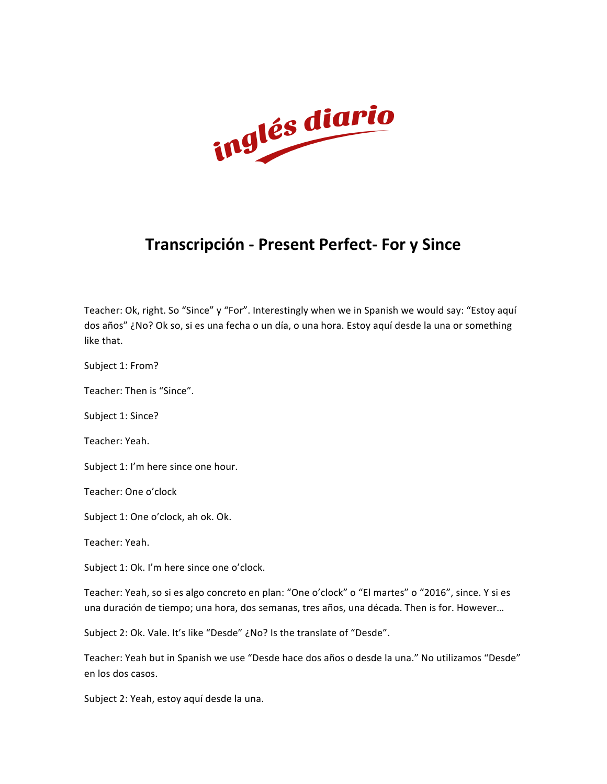

## **Transcripción - Present Perfect- For y Since**

Teacher: Ok, right. So "Since" y "For". Interestingly when we in Spanish we would say: "Estoy aquí dos años" ¿No? Ok so, si es una fecha o un día, o una hora. Estoy aquí desde la una or something like that.

Subject 1: From?

Teacher: Then is "Since".

Subject 1: Since?

Teacher: Yeah.

Subject 1: I'm here since one hour.

Teacher: One o'clock

Subject 1: One o'clock, ah ok. Ok.

Teacher: Yeah.

Subject 1: Ok. I'm here since one o'clock.

Teacher: Yeah, so si es algo concreto en plan: "One o'clock" o "El martes" o "2016", since. Y si es una duración de tiempo; una hora, dos semanas, tres años, una década. Then is for. However...

Subject 2: Ok. Vale. It's like "Desde" ¿No? Is the translate of "Desde".

Teacher: Yeah but in Spanish we use "Desde hace dos años o desde la una." No utilizamos "Desde" en los dos casos.

Subject 2: Yeah, estoy aquí desde la una.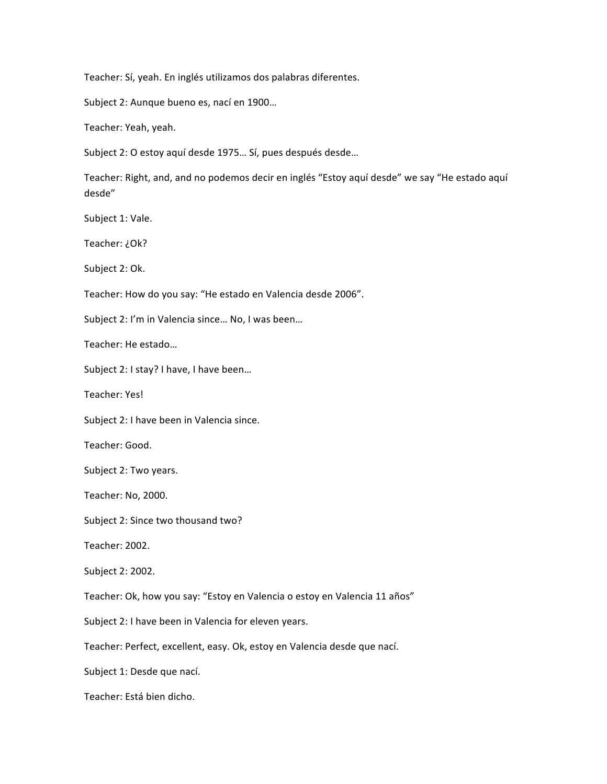Teacher: Sí, yeah. En inglés utilizamos dos palabras diferentes.

Subject 2: Aunque bueno es, nací en 1900...

Teacher: Yeah, yeah.

Subject 2: O estoy aquí desde 1975... Sí, pues después desde...

Teacher: Right, and, and no podemos decir en inglés "Estoy aquí desde" we say "He estado aquí desde"

Subject 1: Vale.

Teacher: ¿Ok?

Subject 2: Ok.

Teacher: How do you say: "He estado en Valencia desde 2006".

Subject 2: I'm in Valencia since... No, I was been...

Teacher: He estado...

Subject 2: I stay? I have, I have been...

Teacher: Yes!

Subject 2: I have been in Valencia since.

Teacher: Good.

Subject 2: Two years.

Teacher: No, 2000.

Subject 2: Since two thousand two?

Teacher: 2002.

Subject 2: 2002.

Teacher: Ok, how you say: "Estoy en Valencia o estoy en Valencia 11 años"

Subject 2: I have been in Valencia for eleven years.

Teacher: Perfect, excellent, easy. Ok, estoy en Valencia desde que nací.

Subject 1: Desde que nací.

Teacher: Está bien dicho.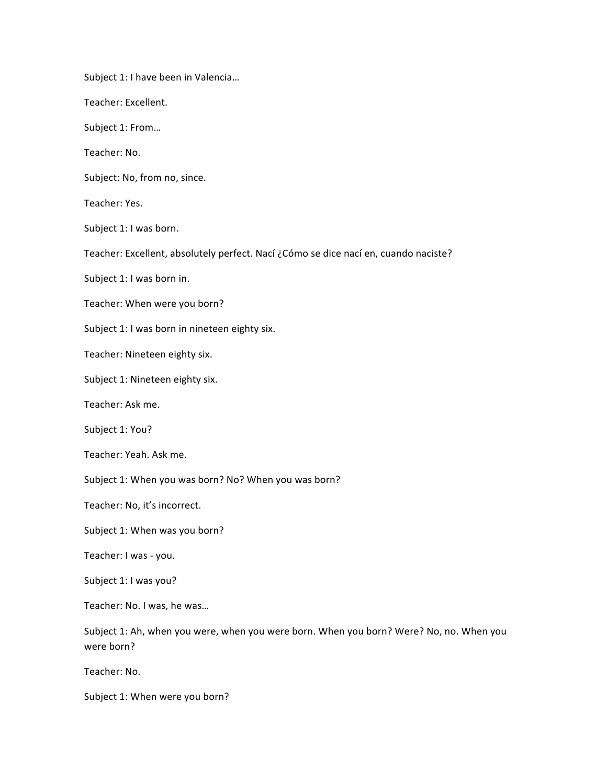Subject 1: I have been in Valencia... Teacher: Excellent. Subject 1: From... Teacher: No. Subject: No, from no, since. Teacher: Yes. Subject 1: I was born. Teacher: Excellent, absolutely perfect. Nací ¿Cómo se dice nací en, cuando naciste? Subject 1: I was born in. Teacher: When were you born? Subject 1: I was born in nineteen eighty six. Teacher: Nineteen eighty six. Subject 1: Nineteen eighty six. Teacher: Ask me. Subject 1: You? Teacher: Yeah. Ask me. Subject 1: When you was born? No? When you was born? Teacher: No, it's incorrect. Subject 1: When was you born? Teacher: I was - you. Subject 1: I was you? Teacher: No. I was, he was... Subject 1: Ah, when you were, when you were born. When you born? Were? No, no. When you were born? Teacher: No. Subject 1: When were you born?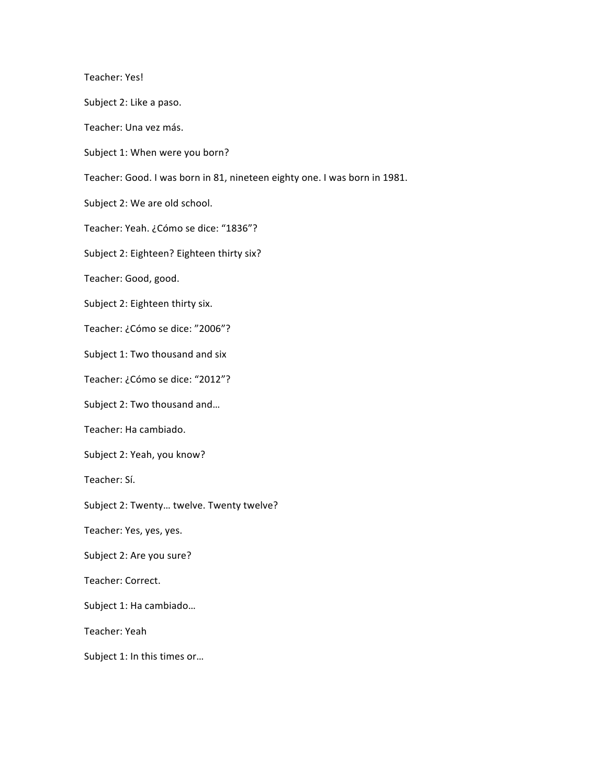Teacher: Yes! 

Subject 2: Like a paso.

Teacher: Una vez más.

Subject 1: When were you born?

Teacher: Good. I was born in 81, nineteen eighty one. I was born in 1981.

Subject 2: We are old school.

Teacher: Yeah. ¿Cómo se dice: "1836"?

Subject 2: Eighteen? Eighteen thirty six?

Teacher: Good, good.

Subject 2: Eighteen thirty six.

Teacher: ¿Cómo se dice: "2006"?

Subject 1: Two thousand and six

Teacher: ¿Cómo se dice: "2012"?

Subject 2: Two thousand and...

Teacher: Ha cambiado.

Subject 2: Yeah, you know?

Teacher: Sí.

Subject 2: Twenty... twelve. Twenty twelve?

Teacher: Yes, yes, yes.

Subject 2: Are you sure?

Teacher: Correct.

Subject 1: Ha cambiado...

Teacher: Yeah

Subject 1: In this times or...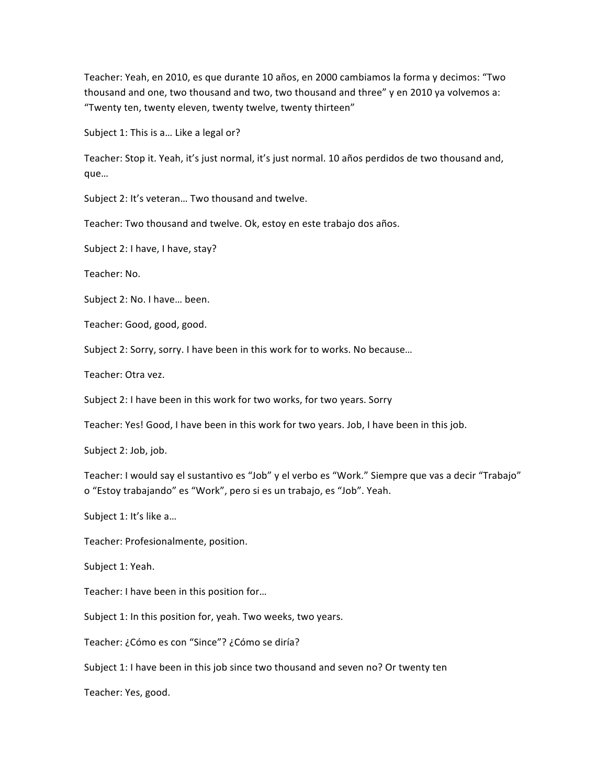Teacher: Yeah, en 2010, es que durante 10 años, en 2000 cambiamos la forma y decimos: "Two thousand and one, two thousand and two, two thousand and three" y en 2010 ya volvemos a: "Twenty ten, twenty eleven, twenty twelve, twenty thirteen"

Subject 1: This is a... Like a legal or?

Teacher: Stop it. Yeah, it's just normal, it's just normal. 10 años perdidos de two thousand and, que…

Subject 2: It's veteran... Two thousand and twelve.

Teacher: Two thousand and twelve. Ok, estoy en este trabajo dos años.

Subject 2: I have, I have, stay?

Teacher: No.

Subject 2: No. I have... been.

Teacher: Good, good, good.

Subject 2: Sorry, sorry. I have been in this work for to works. No because...

Teacher: Otra vez.

Subject 2: I have been in this work for two works, for two years. Sorry

Teacher: Yes! Good, I have been in this work for two years. Job, I have been in this job.

Subject 2: Job, job.

Teacher: I would say el sustantivo es "Job" y el verbo es "Work." Siempre que vas a decir "Trabajo" o "Estoy trabajando" es "Work", pero si es un trabajo, es "Job". Yeah.

Subject 1: It's like a...

Teacher: Profesionalmente, position.

Subject 1: Yeah.

Teacher: I have been in this position for...

Subject 1: In this position for, yeah. Two weeks, two years.

Teacher: ¿Cómo es con "Since"? ¿Cómo se diría?

Subject 1: I have been in this job since two thousand and seven no? Or twenty ten

Teacher: Yes, good.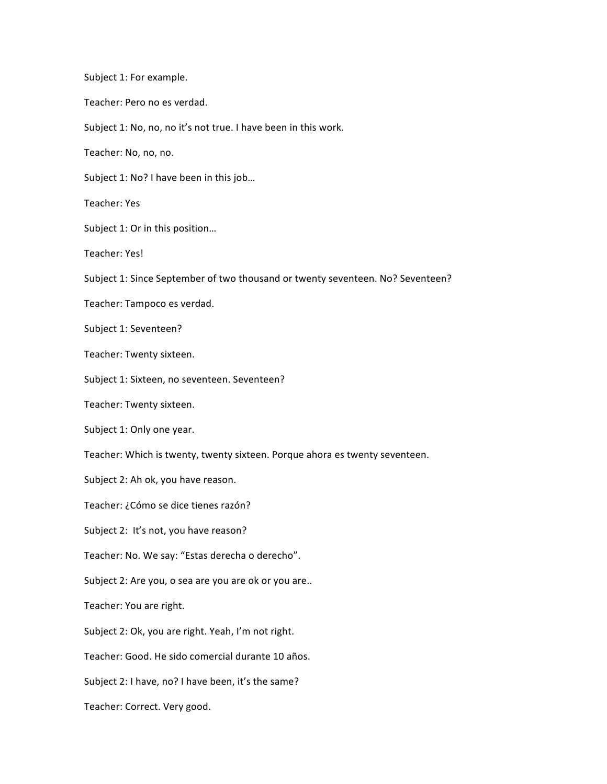Subject 1: For example. Teacher: Pero no es verdad. Subject 1: No, no, no it's not true. I have been in this work. Teacher: No, no, no. Subject 1: No? I have been in this job... Teacher: Yes Subject 1: Or in this position... Teacher: Yes! Subject 1: Since September of two thousand or twenty seventeen. No? Seventeen? Teacher: Tampoco es verdad. Subject 1: Seventeen? Teacher: Twenty sixteen. Subject 1: Sixteen, no seventeen. Seventeen? Teacher: Twenty sixteen. Subject 1: Only one year. Teacher: Which is twenty, twenty sixteen. Porque ahora es twenty seventeen. Subject 2: Ah ok, you have reason. Teacher: ¿Cómo se dice tienes razón? Subject 2: It's not, you have reason? Teacher: No. We say: "Estas derecha o derecho". Subject 2: Are you, o sea are you are ok or you are.. Teacher: You are right. Subject 2: Ok, you are right. Yeah, I'm not right. Teacher: Good. He sido comercial durante 10 años. Subject 2: I have, no? I have been, it's the same? Teacher: Correct. Very good.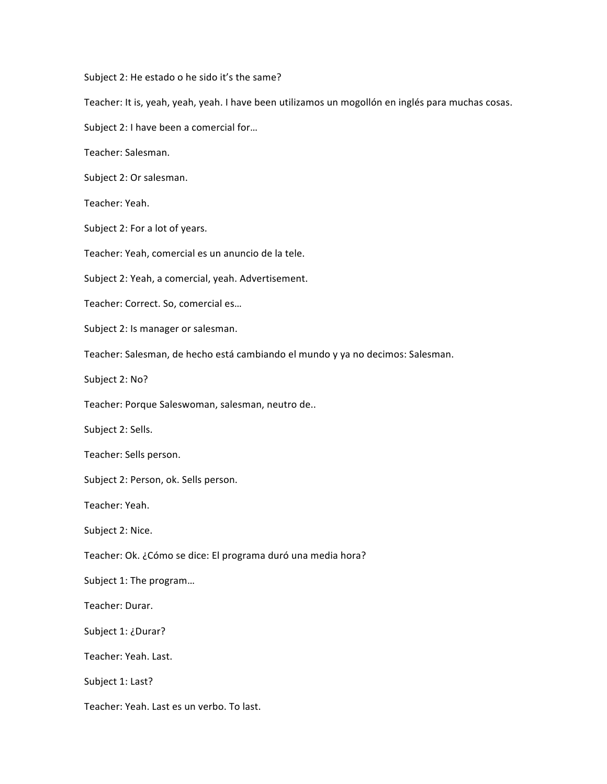Subject 2: He estado o he sido it's the same?

Teacher: It is, yeah, yeah, yeah. I have been utilizamos un mogollón en inglés para muchas cosas.

Subject 2: I have been a comercial for...

Teacher: Salesman.

Subject 2: Or salesman.

Teacher: Yeah.

Subject 2: For a lot of years.

Teacher: Yeah, comercial es un anuncio de la tele.

Subject 2: Yeah, a comercial, yeah. Advertisement.

Teacher: Correct. So, comercial es...

Subject 2: Is manager or salesman.

Teacher: Salesman, de hecho está cambiando el mundo y ya no decimos: Salesman.

Subject 2: No?

Teacher: Porque Saleswoman, salesman, neutro de..

Subject 2: Sells.

Teacher: Sells person.

Subject 2: Person, ok. Sells person.

Teacher: Yeah. 

Subject 2: Nice.

Teacher: Ok. ¿Cómo se dice: El programa duró una media hora?

Subject 1: The program...

Teacher: Durar.

Subject 1: ¿Durar?

Teacher: Yeah. Last.

Subject 1: Last?

Teacher: Yeah. Last es un verbo. To last.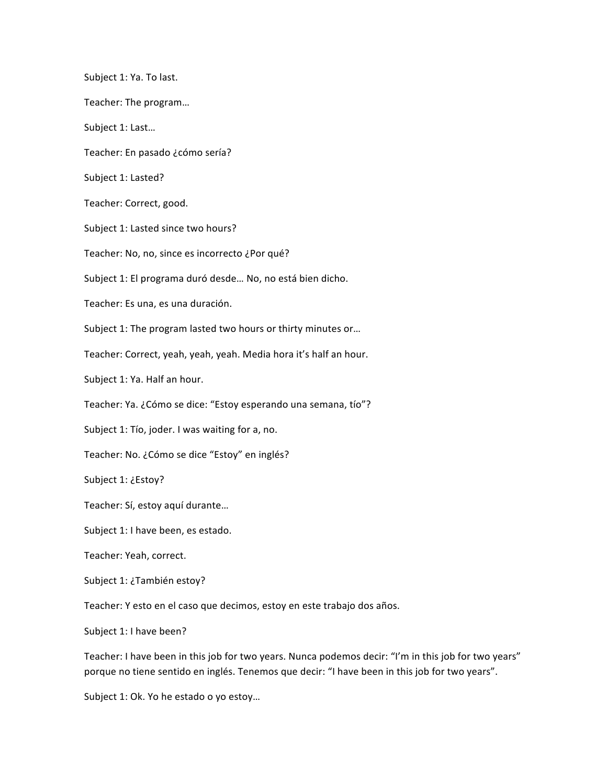Subject 1: Ya. To last. Teacher: The program... Subject 1: Last... Teacher: En pasado ¿cómo sería? Subject 1: Lasted? Teacher: Correct, good. Subject 1: Lasted since two hours? Teacher: No, no, since es incorrecto ¿Por qué? Subject 1: El programa duró desde... No, no está bien dicho. Teacher: Es una, es una duración. Subject 1: The program lasted two hours or thirty minutes or... Teacher: Correct, yeah, yeah, yeah. Media hora it's half an hour. Subject 1: Ya. Half an hour. Teacher: Ya. ¿Cómo se dice: "Estoy esperando una semana, tío"? Subject 1: Tío, joder. I was waiting for a, no. Teacher: No. ¿Cómo se dice "Estoy" en inglés? Subject 1: ¿Estoy? Teacher: Sí, estoy aquí durante... Subject 1: I have been, es estado. Teacher: Yeah, correct. Subject 1: ¿También estoy? Teacher: Y esto en el caso que decimos, estoy en este trabajo dos años. Subject 1: I have been?

Teacher: I have been in this job for two years. Nunca podemos decir: "I'm in this job for two years" porque no tiene sentido en inglés. Tenemos que decir: "I have been in this job for two years".

Subject 1: Ok. Yo he estado o yo estoy...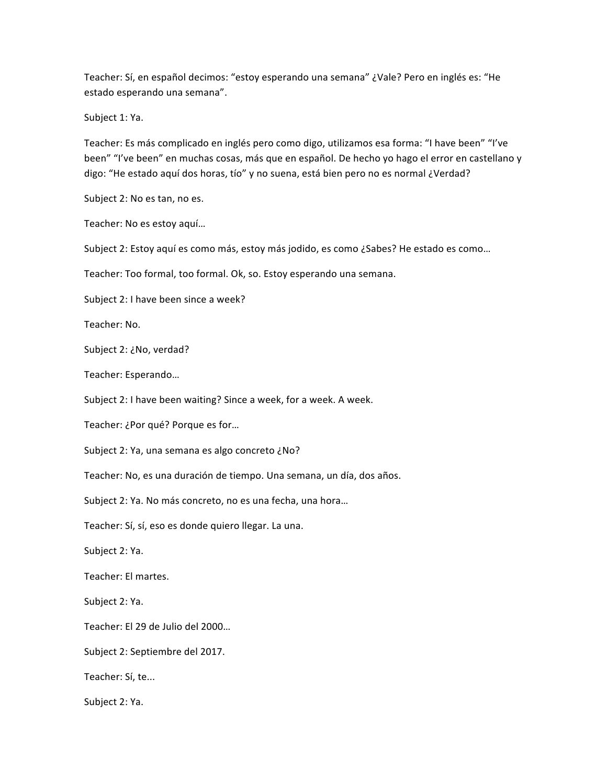Teacher: Sí, en español decimos: "estoy esperando una semana" ¿Vale? Pero en inglés es: "He estado esperando una semana".

Subject 1: Ya.

Teacher: Es más complicado en inglés pero como digo, utilizamos esa forma: "I have been" "I've been" "I've been" en muchas cosas, más que en español. De hecho yo hago el error en castellano y digo: "He estado aquí dos horas, tío" y no suena, está bien pero no es normal ¿Verdad?

Subject 2: No es tan, no es.

Teacher: No es estoy aquí...

Subject 2: Estoy aquí es como más, estoy más jodido, es como ¿Sabes? He estado es como...

Teacher: Too formal, too formal. Ok, so. Estoy esperando una semana.

Subject 2: I have been since a week?

Teacher: No.

Subject 2: ¿No, verdad?

Teacher: Esperando…

Subject 2: I have been waiting? Since a week, for a week. A week.

Teacher: ¿Por qué? Porque es for…

Subject 2: Ya, una semana es algo concreto ¿No?

Teacher: No, es una duración de tiempo. Una semana, un día, dos años.

Subject 2: Ya. No más concreto, no es una fecha, una hora...

Teacher: Sí, sí, eso es donde quiero llegar. La una.

Subject 2: Ya.

Teacher: El martes.

Subject 2: Ya.

Teacher: El 29 de Julio del 2000...

Subject 2: Septiembre del 2017.

Teacher: Sí, te...

Subject 2: Ya.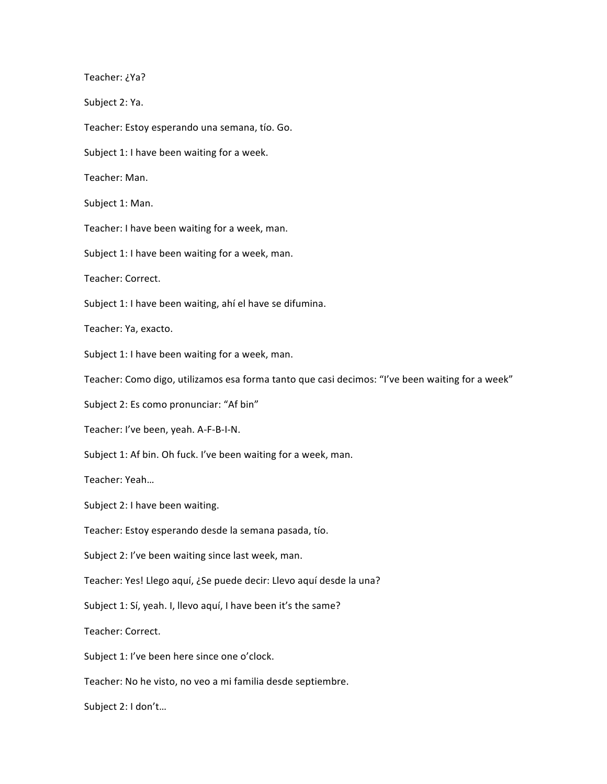Teacher: ¿Ya?

Subject 2: Ya.

Teacher: Estoy esperando una semana, tío. Go.

Subject 1: I have been waiting for a week.

Teacher: Man.

Subject 1: Man.

Teacher: I have been waiting for a week, man.

Subject 1: I have been waiting for a week, man.

Teacher: Correct.

Subject 1: I have been waiting, ahí el have se difumina.

Teacher: Ya, exacto.

Subject 1: I have been waiting for a week, man.

Teacher: Como digo, utilizamos esa forma tanto que casi decimos: "I've been waiting for a week"

Subject 2: Es como pronunciar: "Af bin"

Teacher: I've been, yeah. A-F-B-I-N.

Subject 1: Af bin. Oh fuck. I've been waiting for a week, man.

Teacher: Yeah…

Subject 2: I have been waiting.

Teacher: Estoy esperando desde la semana pasada, tío.

Subject 2: I've been waiting since last week, man.

Teacher: Yes! Llego aquí, ¿Se puede decir: Llevo aquí desde la una?

Subject 1: Sí, yeah. I, llevo aquí, I have been it's the same?

Teacher: Correct.

Subject 1: I've been here since one o'clock.

Teacher: No he visto, no veo a mi familia desde septiembre.

Subject 2: I don't...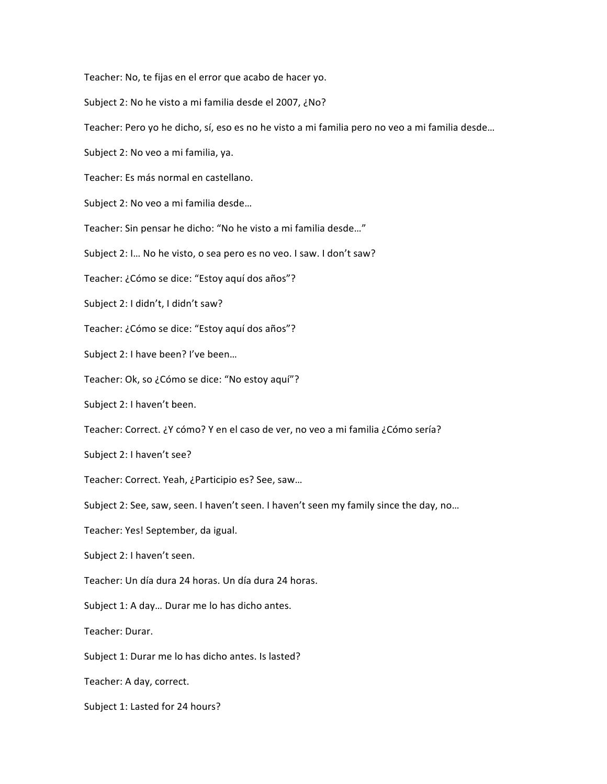Teacher: No, te fijas en el error que acabo de hacer yo.

Subject 2: No he visto a mi familia desde el 2007, ¿No?

Teacher: Pero yo he dicho, sí, eso es no he visto a mi familia pero no veo a mi familia desde...

Subject 2: No veo a mi familia, ya.

Teacher: Es más normal en castellano.

Subject 2: No veo a mi familia desde...

Teacher: Sin pensar he dicho: "No he visto a mi familia desde..."

Subject 2: I... No he visto, o sea pero es no veo. I saw. I don't saw?

Teacher: ¿Cómo se dice: "Estoy aquí dos años"?

Subject 2: I didn't, I didn't saw?

Teacher: ¿Cómo se dice: "Estoy aquí dos años"?

Subject 2: I have been? I've been...

Teacher: Ok, so ¿Cómo se dice: "No estoy aquí"?

Subject 2: I haven't been.

Teacher: Correct. ¿Y cómo? Y en el caso de ver, no veo a mi familia ¿Cómo sería?

Subject 2: I haven't see?

Teacher: Correct. Yeah, ¿Participio es? See, saw...

Subject 2: See, saw, seen. I haven't seen. I haven't seen my family since the day, no...

Teacher: Yes! September, da igual.

Subject 2: I haven't seen.

Teacher: Un día dura 24 horas. Un día dura 24 horas.

Subject 1: A day... Durar me lo has dicho antes.

Teacher: Durar.

Subject 1: Durar me lo has dicho antes. Is lasted?

Teacher: A day, correct.

Subject 1: Lasted for 24 hours?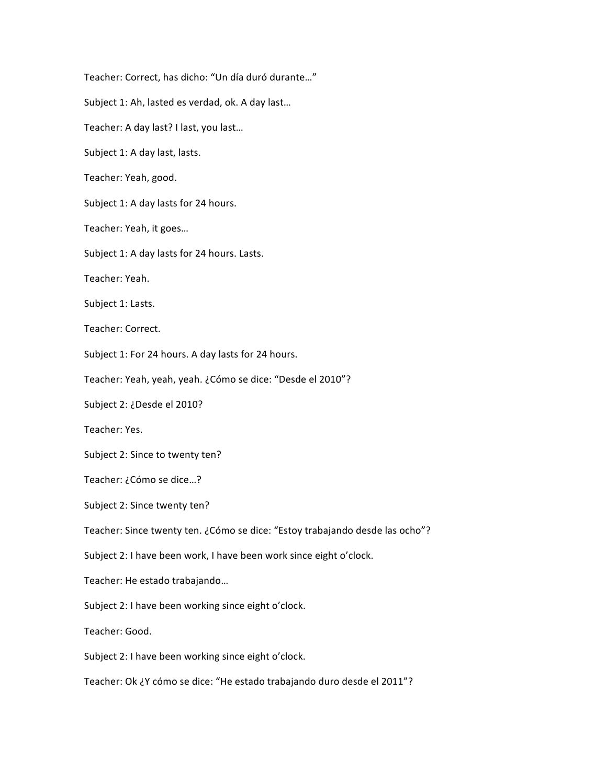Teacher: Correct, has dicho: "Un día duró durante..." Subject 1: Ah, lasted es verdad, ok. A day last... Teacher: A day last? I last, you last... Subject 1: A day last, lasts. Teacher: Yeah, good. Subject 1: A day lasts for 24 hours. Teacher: Yeah, it goes... Subject 1: A day lasts for 24 hours. Lasts. Teacher: Yeah. Subject 1: Lasts. Teacher: Correct. Subject 1: For 24 hours. A day lasts for 24 hours. Teacher: Yeah, yeah, yeah. ¿Cómo se dice: "Desde el 2010"? Subject 2: ¿Desde el 2010? Teacher: Yes. Subject 2: Since to twenty ten? Teacher: ¿Cómo se dice...? Subject 2: Since twenty ten? Teacher: Since twenty ten. ¿Cómo se dice: "Estoy trabajando desde las ocho"? Subject 2: I have been work, I have been work since eight o'clock. Teacher: He estado trabajando... Subject 2: I have been working since eight o'clock. Teacher: Good. Subject 2: I have been working since eight o'clock. Teacher: Ok ¿Y cómo se dice: "He estado trabajando duro desde el 2011"?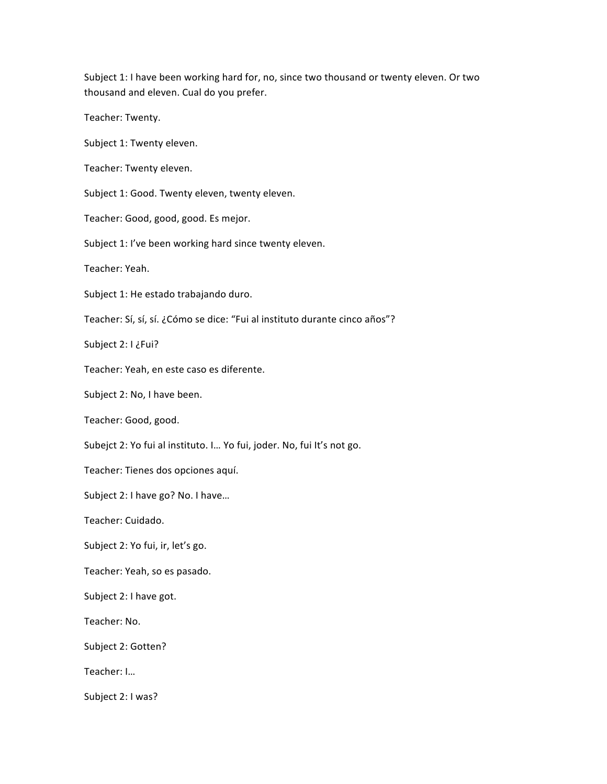Subject 1: I have been working hard for, no, since two thousand or twenty eleven. Or two thousand and eleven. Cual do you prefer.

Teacher: Twenty.

Subject 1: Twenty eleven.

Teacher: Twenty eleven.

Subject 1: Good. Twenty eleven, twenty eleven.

Teacher: Good, good, good. Es mejor.

Subject 1: I've been working hard since twenty eleven.

Teacher: Yeah.

Subject 1: He estado trabajando duro.

Teacher: Sí, sí, sí. ¿Cómo se dice: "Fui al instituto durante cinco años"?

Subject 2: I ¿Fui?

Teacher: Yeah, en este caso es diferente.

Subject 2: No, I have been.

Teacher: Good, good.

Subejct 2: Yo fui al instituto. I... Yo fui, joder. No, fui It's not go.

Teacher: Tienes dos opciones aquí.

Subject 2: I have go? No. I have...

Teacher: Cuidado.

Subject 2: Yo fui, ir, let's go.

Teacher: Yeah, so es pasado.

Subject 2: I have got.

Teacher: No.

Subject 2: Gotten?

Teacher: I...

Subject 2: I was?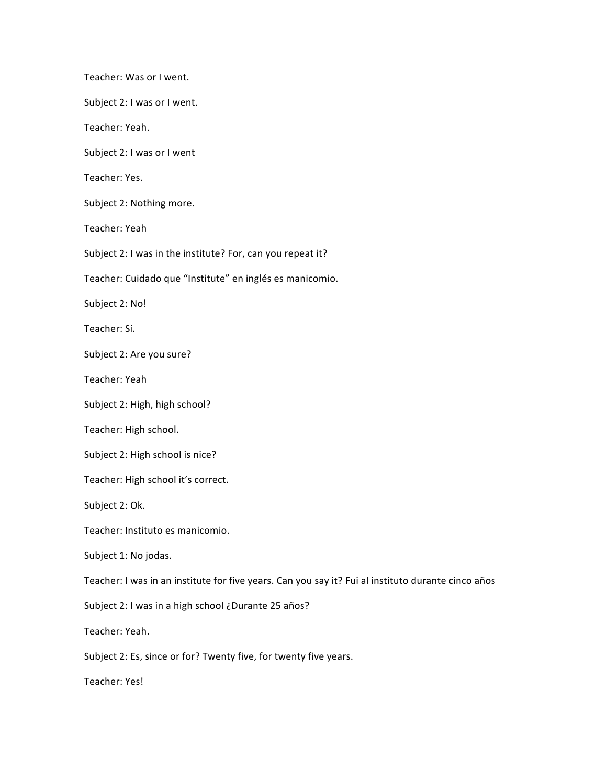Teacher: Was or I went. Subject 2: I was or I went. Teacher: Yeah. Subject 2: I was or I went Teacher: Yes. Subject 2: Nothing more. Teacher: Yeah Subject 2: I was in the institute? For, can you repeat it? Teacher: Cuidado que "Institute" en inglés es manicomio. Subject 2: No! Teacher: Sí. Subject 2: Are you sure? Teacher: Yeah Subject 2: High, high school? Teacher: High school. Subject 2: High school is nice? Teacher: High school it's correct. Subject 2: Ok. Teacher: Instituto es manicomio. Subject 1: No jodas. Teacher: I was in an institute for five years. Can you say it? Fui al instituto durante cinco años Subject 2: I was in a high school ¿Durante 25 años? Teacher: Yeah. Subject 2: Es, since or for? Twenty five, for twenty five years. Teacher: Yes!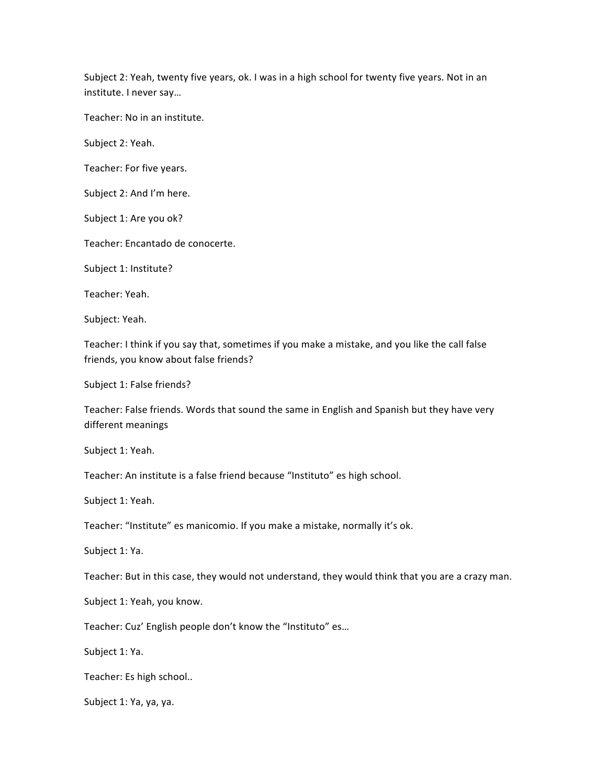Subject 2: Yeah, twenty five years, ok. I was in a high school for twenty five years. Not in an institute. I never say...

Teacher: No in an institute.

Subject 2: Yeah.

Teacher: For five years.

Subject 2: And I'm here.

Subject 1: Are you ok?

Teacher: Encantado de conocerte.

Subject 1: Institute?

Teacher: Yeah.

Subject: Yeah.

Teacher: I think if you say that, sometimes if you make a mistake, and you like the call false friends, you know about false friends?

Subject 1: False friends?

Teacher: False friends. Words that sound the same in English and Spanish but they have very different meanings

Subject 1: Yeah.

Teacher: An institute is a false friend because "Instituto" es high school.

Subject 1: Yeah.

Teacher: "Institute" es manicomio. If you make a mistake, normally it's ok.

Subject 1: Ya.

Teacher: But in this case, they would not understand, they would think that you are a crazy man.

Subject 1: Yeah, you know.

Teacher: Cuz' English people don't know the "Instituto" es...

Subject 1: Ya.

Teacher: Es high school..

Subject 1: Ya, ya, ya.